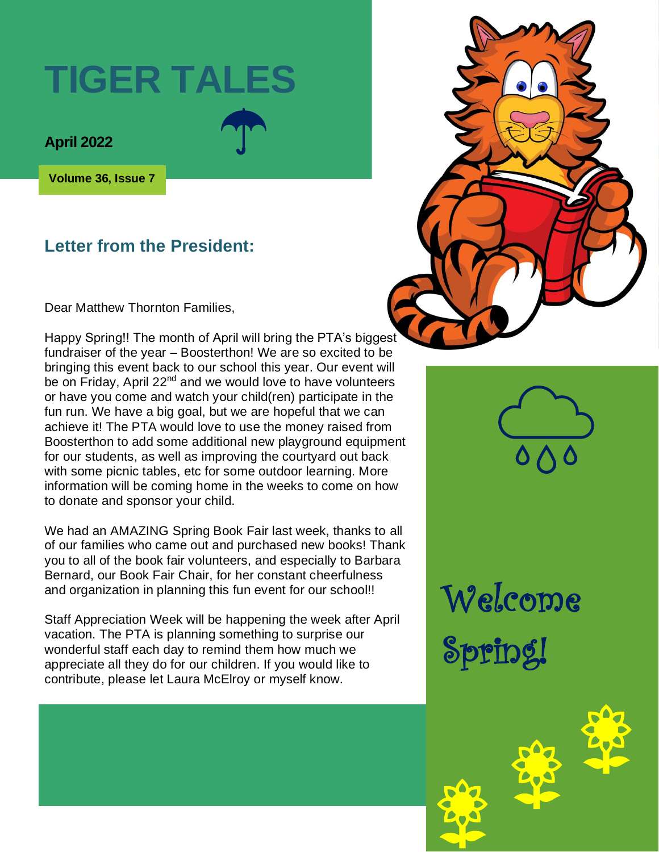# **TIGER TALES**

**April 2022** 

**Volume 36, Issue 7**

#### **Letter from the President:**

Dear Matthew Thornton Families,

Happy Spring!! The month of April will bring the PTA's biggest fundraiser of the year – Boosterthon! We are so excited to be bringing this event back to our school this year. Our event will be on Friday, April 22<sup>nd</sup> and we would love to have volunteers or have you come and watch your child(ren) participate in the fun run. We have a big goal, but we are hopeful that we can achieve it! The PTA would love to use the money raised from Boosterthon to add some additional new playground equipment for our students, as well as improving the courtyard out back with some picnic tables, etc for some outdoor learning. More information will be coming home in the weeks to come on how to donate and sponsor your child.

We had an AMAZING Spring Book Fair last week, thanks to all of our families who came out and purchased new books! Thank you to all of the book fair volunteers, and especially to Barbara Bernard, our Book Fair Chair, for her constant cheerfulness and organization in planning this fun event for our school!!

Staff Appreciation Week will be happening the week after April vacation. The PTA is planning something to surprise our wonderful staff each day to remind them how much we appreciate all they do for our children. If you would like to contribute, please let Laura McElroy or myself know.



Welcome Spring!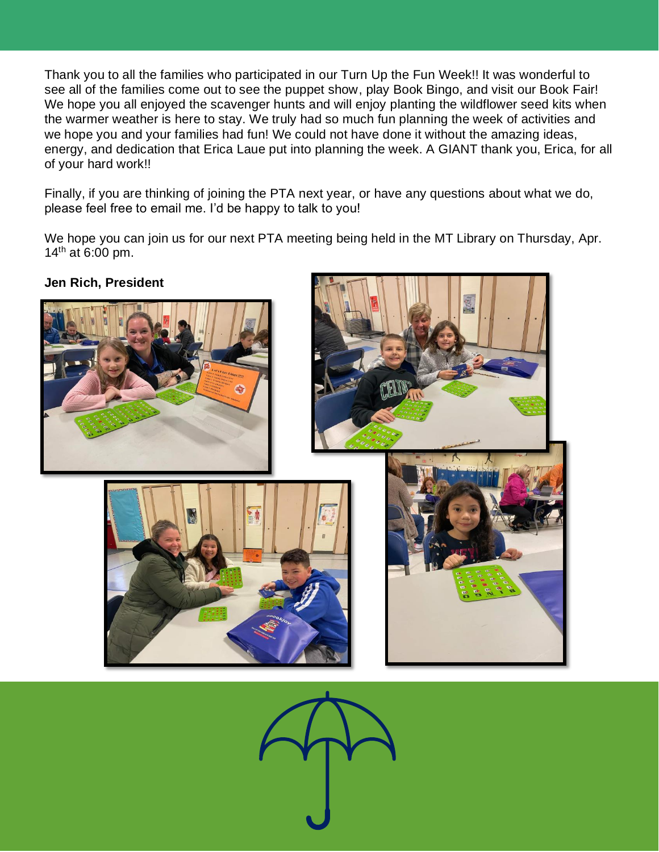Thank you to all the families who participated in our Turn Up the Fun Week!! It was wonderful to see all of the families come out to see the puppet show, play Book Bingo, and visit our Book Fair! We hope you all enjoyed the scavenger hunts and will enjoy planting the wildflower seed kits when the warmer weather is here to stay. We truly had so much fun planning the week of activities and we hope you and your families had fun! We could not have done it without the amazing ideas, energy, and dedication that Erica Laue put into planning the week. A GIANT thank you, Erica, for all of your hard work!!

Finally, if you are thinking of joining the PTA next year, or have any questions about what we do, please feel free to email me. I'd be happy to talk to you!

We hope you can join us for our next PTA meeting being held in the MT Library on Thursday, Apr.  $14^{th}$  at 6:00 pm.



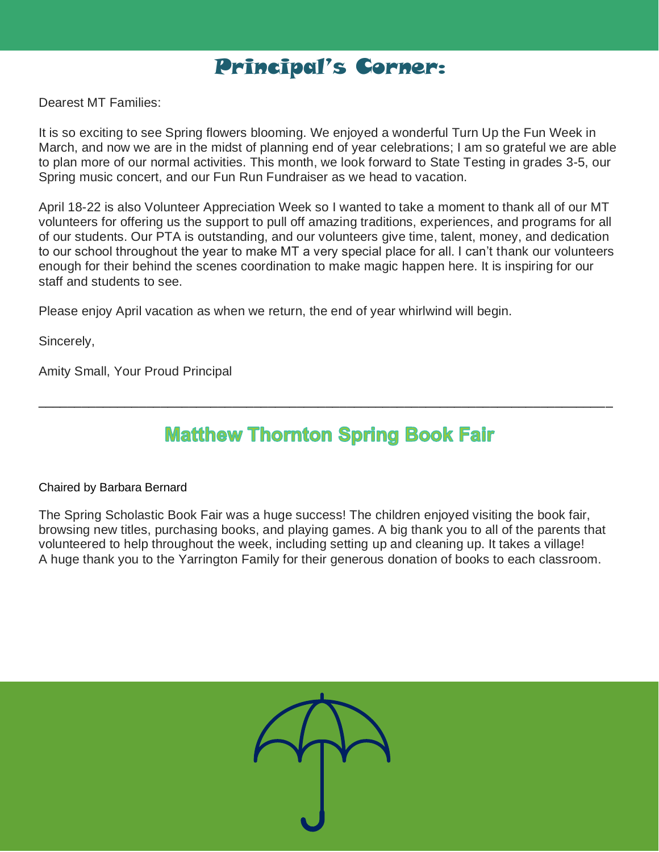

Dearest MT Families:

It is so exciting to see Spring flowers blooming. We enjoyed a wonderful Turn Up the Fun Week in March, and now we are in the midst of planning end of year celebrations; I am so grateful we are able to plan more of our normal activities. This month, we look forward to State Testing in grades 3-5, our Spring music concert, and our Fun Run Fundraiser as we head to vacation.

April 18-22 is also Volunteer Appreciation Week so I wanted to take a moment to thank all of our MT volunteers for offering us the support to pull off amazing traditions, experiences, and programs for all of our students. Our PTA is outstanding, and our volunteers give time, talent, money, and dedication to our school throughout the year to make MT a very special place for all. I can't thank our volunteers enough for their behind the scenes coordination to make magic happen here. It is inspiring for our staff and students to see.

Please enjoy April vacation as when we return, the end of year whirlwind will begin.

Sincerely,

Amity Small, Your Proud Principal

### **Matthew Thornton Spring Book Fair**

\_\_\_\_\_\_\_\_\_\_\_\_\_\_\_\_\_\_\_\_\_\_\_\_\_\_\_\_\_\_\_\_\_\_\_\_\_\_\_\_\_\_\_\_\_\_\_\_\_\_\_\_\_\_\_\_\_\_\_\_\_\_\_\_\_\_\_\_\_\_\_\_\_\_\_\_\_\_\_\_

#### Chaired by Barbara Bernard

The Spring Scholastic Book Fair was a huge success! The children enjoyed visiting the book fair, browsing new titles, purchasing books, and playing games. A big thank you to all of the parents that volunteered to help throughout the week, including setting up and cleaning up. It takes a village! A huge thank you to the Yarrington Family for their generous donation of books to each classroom.

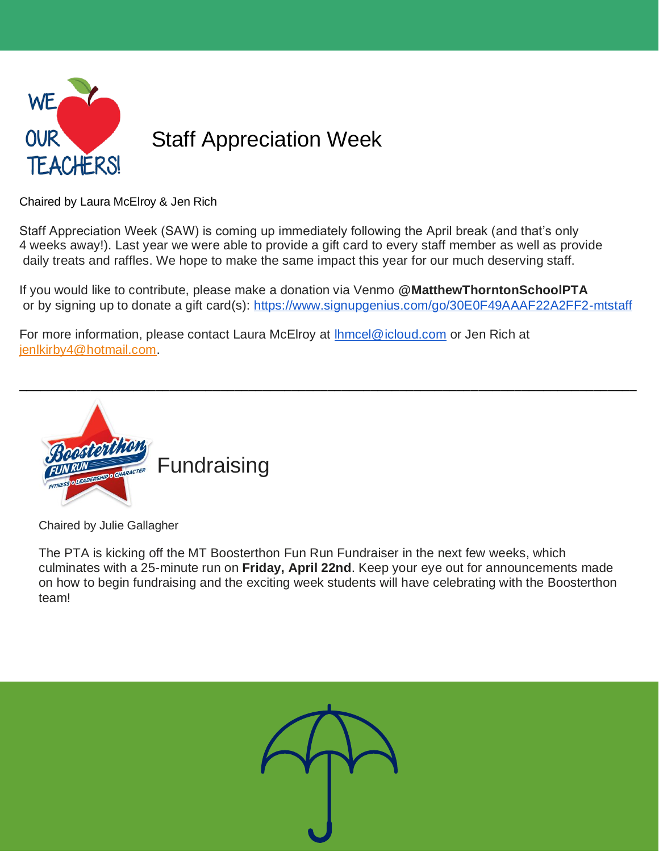

Chaired by Laura McElroy & Jen Rich

Staff Appreciation Week (SAW) is coming up immediately following the April break (and that's only 4 weeks away!). Last year we were able to provide a gift card to every staff member as well as provide daily treats and raffles. We hope to make the same impact this year for our much deserving staff.

If you would like to contribute, please make a donation via Venmo **@MatthewThorntonSchoolPTA** or by signing up to donate a gift card(s):<https://www.signupgenius.com/go/30E0F49AAAF22A2FF2-mtstaff>

For more information, please contact Laura McElroy at **Ihmcel@icloud.com** or Jen Rich at [jenlkirby4@hotmail.com.](mailto:jenlkirby4@hotmail.com)



Chaired by Julie Gallagher

The PTA is kicking off the MT Boosterthon Fun Run Fundraiser in the next few weeks, which culminates with a 25-minute run on **Friday, April 22nd**. Keep your eye out for announcements made on how to begin fundraising and the exciting week students will have celebrating with the Boosterthon team!

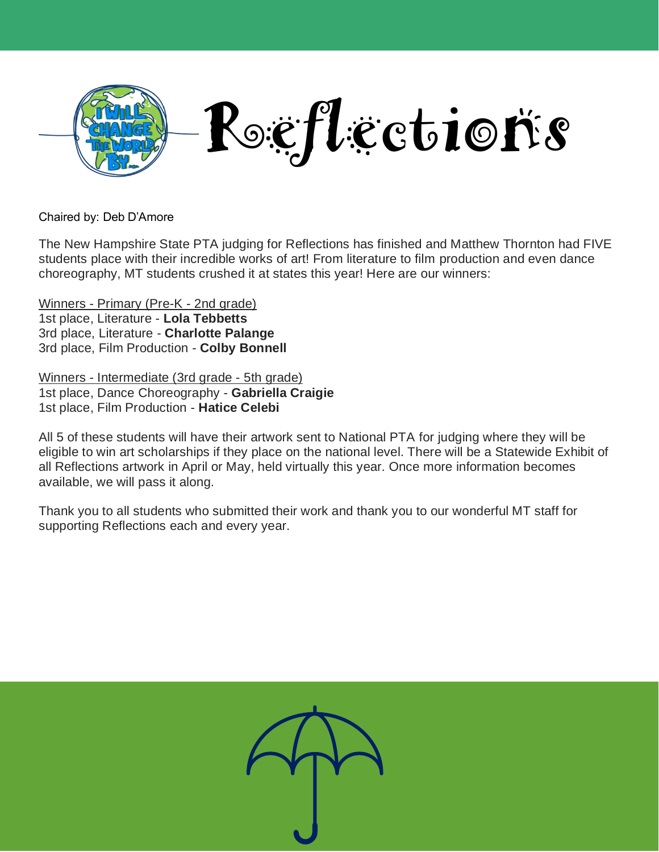

Chaired by: Deb D'Amore

The New Hampshire State PTA judging for Reflections has finished and Matthew Thornton had FIVE students place with their incredible works of art! From literature to film production and even dance choreography, MT students crushed it at states this year! Here are our winners:

Winners - Primary (Pre-K - 2nd grade) 1st place, Literature - **Lola Tebbetts** 3rd place, Literature - **Charlotte Palange** 3rd place, Film Production - **Colby Bonnell**

Winners - Intermediate (3rd grade - 5th grade) 1st place, Dance Choreography - **Gabriella Craigie** 1st place, Film Production - **Hatice Celebi**

All 5 of these students will have their artwork sent to National PTA for judging where they will be eligible to win art scholarships if they place on the national level. There will be a Statewide Exhibit of all Reflections artwork in April or May, held virtually this year. Once more information becomes available, we will pass it along.

Thank you to all students who submitted their work and thank you to our wonderful MT staff for supporting Reflections each and every year.